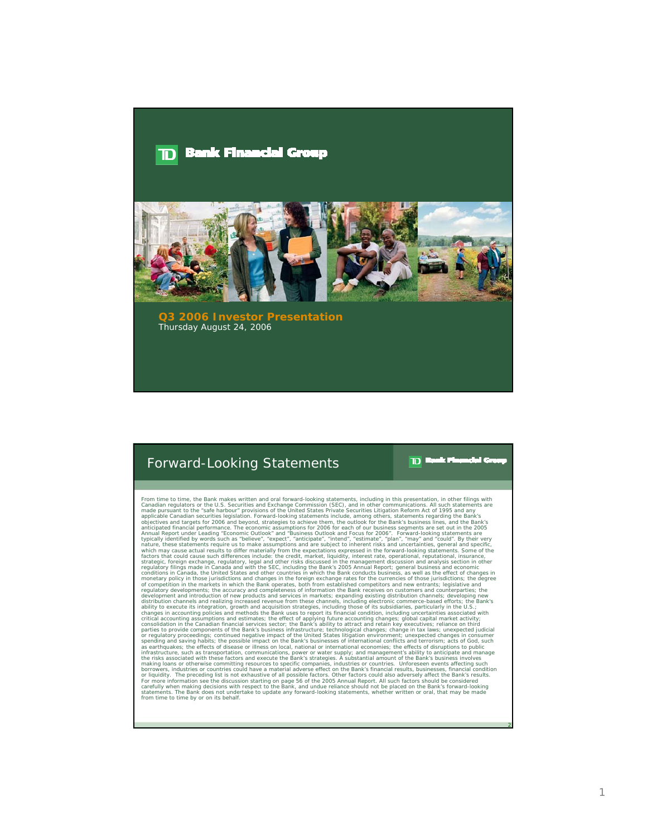#### **Bank Financial Group**  $\blacksquare$



**Q3 2006 Investor Presentation** Thursday August 24, 2006

## Forward-Looking Statements

 $\blacksquare$ 

From time to time Bank makes written and oral forward-looking statements, including in this presentation, in other filings with<br>Frame-Instantant equiditors or the U.S. Securities and Exchange Commission (SEC), and in other statements. The Bank does not undertake to update any forward-looking statements, whether written or oral, that may be made from time to time by or on its behalf.

2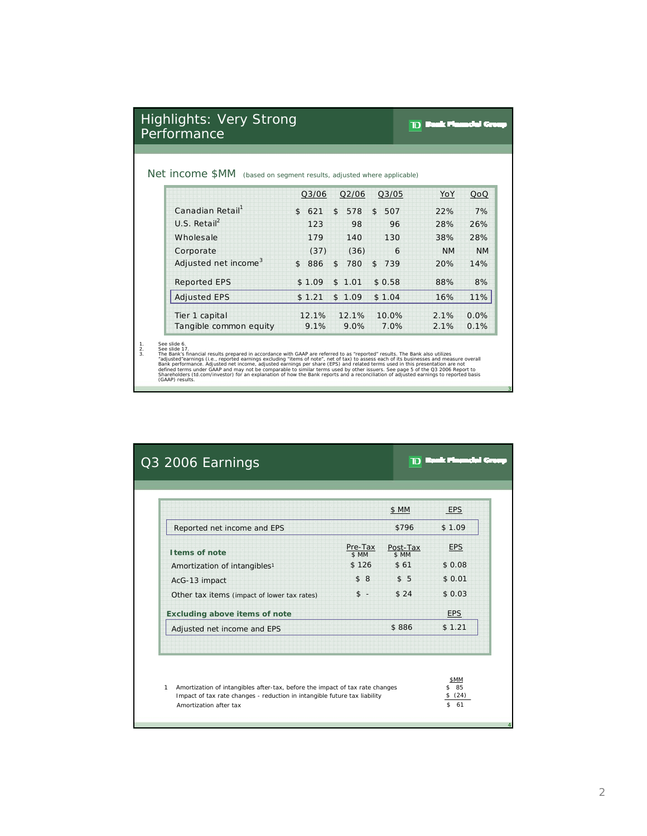| Highlights: Very Strong |  |
|-------------------------|--|
| Performance             |  |

# **TD** Bank Flowedal Gr

3

4

### Net income \$MM (based on segment results, adjusted where applicable)

|                                  | Q3/06     | Q2/06                 | Q3/05     | YoY       | QoQ       |
|----------------------------------|-----------|-----------------------|-----------|-----------|-----------|
| Canadian Retail <sup>1</sup>     | \$<br>621 | \$<br>578             | \$<br>507 | 22%       | 7%        |
| $U.S.$ Retail <sup>2</sup>       | 123       | 98                    | 96        | 28%       | 26%       |
| Wholesale                        | 179       | 140                   | 130       | 38%       | 28%       |
| Corporate                        | (37)      | (36)                  | 6         | <b>NM</b> | <b>NM</b> |
| Adjusted net income <sup>3</sup> | 886<br>\$ | $\mathfrak{L}$<br>780 | \$<br>739 | 20%       | 14%       |
| <b>Reported EPS</b>              | \$1.09    | \$1.01                | \$0.58    | 88%       | 8%        |
| <b>Adjusted EPS</b>              | \$1.21    | 1.09<br>$\mathbb{S}$  | \$1.04    | 16%       | 11%       |
| Tier 1 capital                   | 12.1%     | 12.1%                 | 10.0%     | 2.1%      | 0.0%      |
| Tangible common equity           | 9.1%      | 9.0%                  | 7.0%      | 2.1%      | 0.1%      |

1.<br>
See slide 6.<br>
See slide 17.<br>
See slide 17.<br>
See slide 17.<br>
See slide 17.<br>
See slide 17.<br>
See Slide 17.<br>
ally sted carrings (i.e., reported earnings excluding 'items of note", net of tax) to assess each of its businesse

| \$1.09<br>Reported net income and EPS<br>\$796<br>Pre-Tax<br>Post-Tax<br><b>EPS</b><br>\$ MM<br>\$ MM<br>\$126<br>\$61<br>\$0.08<br>\$8<br>\$5<br>\$0.01<br>\$24<br>$s -$<br>\$0.03<br><b>EPS</b><br>\$1.21<br>\$886 |                                             | \$ MM | <b>EPS</b> |
|----------------------------------------------------------------------------------------------------------------------------------------------------------------------------------------------------------------------|---------------------------------------------|-------|------------|
|                                                                                                                                                                                                                      |                                             |       |            |
|                                                                                                                                                                                                                      | I tems of note                              |       |            |
|                                                                                                                                                                                                                      | Amortization of intangibles <sup>1</sup>    |       |            |
|                                                                                                                                                                                                                      | AcG-13 impact                               |       |            |
|                                                                                                                                                                                                                      | Other tax items (impact of lower tax rates) |       |            |
|                                                                                                                                                                                                                      | <b>Excluding above items of note</b>        |       |            |
|                                                                                                                                                                                                                      | Adjusted net income and EPS                 |       |            |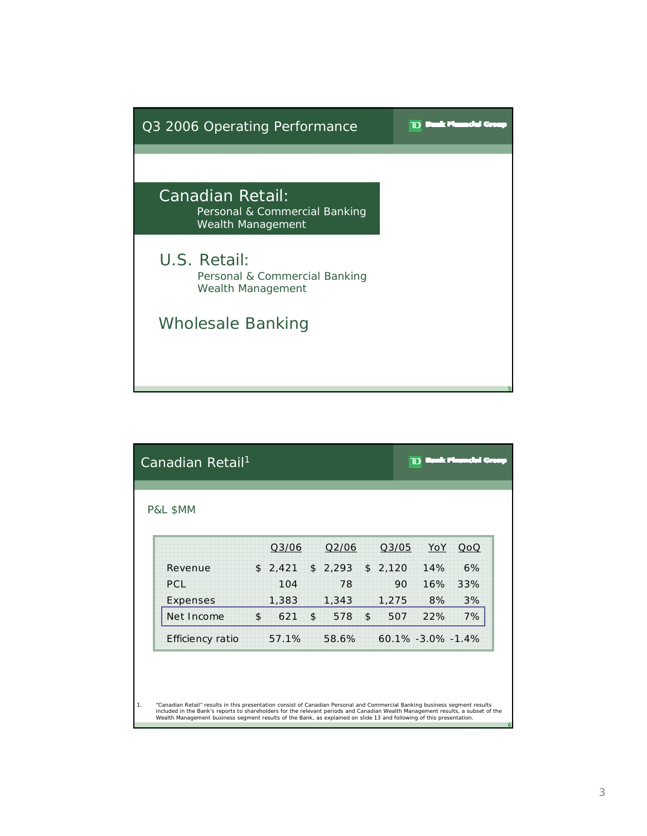

| Canadian Retail <sup>1</sup>                                                                                                                                                                                                                                                                                                                                                           |               |       |             |             |                        |     |
|----------------------------------------------------------------------------------------------------------------------------------------------------------------------------------------------------------------------------------------------------------------------------------------------------------------------------------------------------------------------------------------|---------------|-------|-------------|-------------|------------------------|-----|
| P&L \$MM                                                                                                                                                                                                                                                                                                                                                                               |               | Q3/06 | Q2/06       | Q3/05       | YoY                    | QoQ |
| Revenue                                                                                                                                                                                                                                                                                                                                                                                | $\mathsf{\$}$ | 2,421 | \$<br>2,293 | \$<br>2,120 | 14%                    | 6%  |
| <b>PCL</b>                                                                                                                                                                                                                                                                                                                                                                             |               | 104   | 78          | 90          | 16%                    | 33% |
| Expenses                                                                                                                                                                                                                                                                                                                                                                               |               | 1,383 | 1,343       | 1,275       | 8%                     | 3%  |
| Net Income                                                                                                                                                                                                                                                                                                                                                                             | \$            | 621   | \$<br>578   | \$<br>507   | 22%                    | 7%  |
| Efficiency ratio                                                                                                                                                                                                                                                                                                                                                                       |               | 57.1% | 58.6%       |             | $60.1\% -3.0\% -1.4\%$ |     |
|                                                                                                                                                                                                                                                                                                                                                                                        |               |       |             |             |                        |     |
|                                                                                                                                                                                                                                                                                                                                                                                        |               |       |             |             |                        |     |
| "Canadian Retail" results in this presentation consist of Canadian Personal and Commercial Banking business segment results<br>included in the Bank's reports to shareholders for the relevant periods and Canadian Wealth Management results, a subset of the<br>Wealth Management business segment results of the Bank, as explained on slide 13 and following of this presentation. |               |       |             |             |                        |     |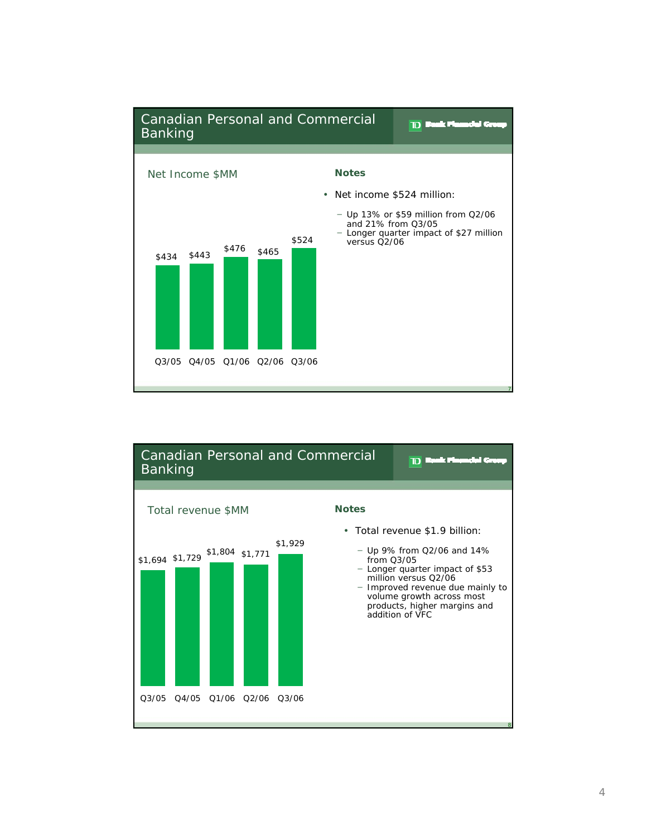

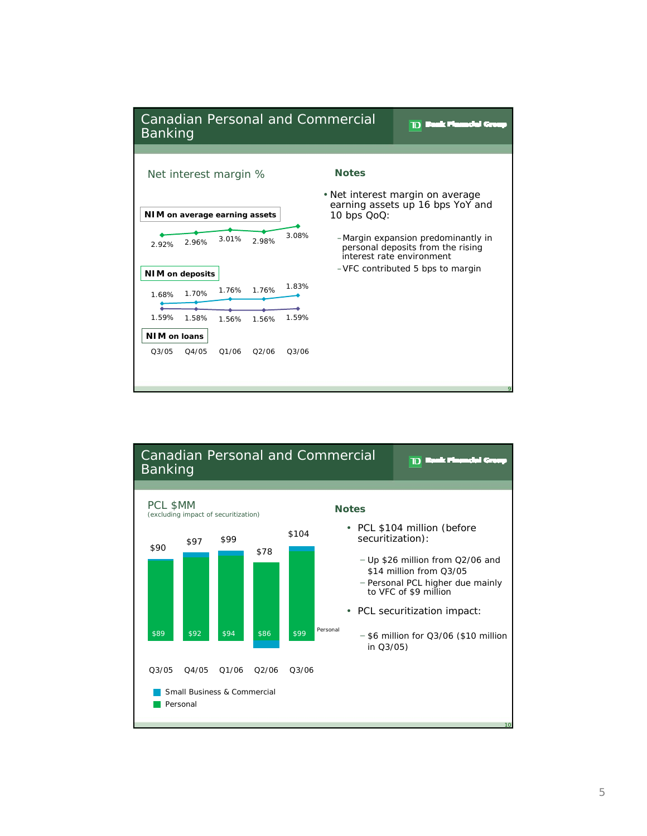

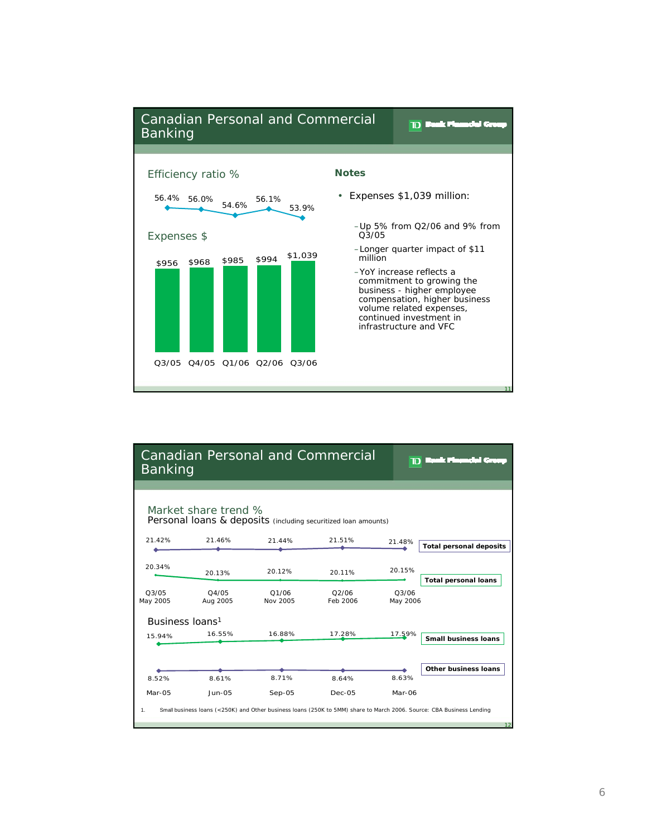

| <b>Banking</b>                                                                         | <b>Canadian Personal and Commercial</b> | סר                | an an an A<br>r eta |                   |                                                                                                                       |  |  |  |
|----------------------------------------------------------------------------------------|-----------------------------------------|-------------------|---------------------|-------------------|-----------------------------------------------------------------------------------------------------------------------|--|--|--|
| Market share trend %<br>Personal loans & deposits (including securitized loan amounts) |                                         |                   |                     |                   |                                                                                                                       |  |  |  |
| 21.42%                                                                                 | 21.46%                                  | 21.44%            | 21.51%              | 21.48%            | <b>Total personal deposits</b>                                                                                        |  |  |  |
| 20.34%                                                                                 | 20.13%                                  | 20.12%            | 20.11%              | 20.15%            | <b>Total personal loans</b>                                                                                           |  |  |  |
| O <sub>3</sub> /O <sub>5</sub><br>May 2005                                             | O4/05<br>Aug 2005                       | 01/06<br>Nov 2005 | Q2/06<br>Feb 2006   | 03/06<br>May 2006 |                                                                                                                       |  |  |  |
| Business loans <sup>1</sup>                                                            |                                         |                   |                     |                   |                                                                                                                       |  |  |  |
| 15.94%                                                                                 | 16.55%                                  | 16.88%            | 17.28%              | 17.59%            | Small business loans                                                                                                  |  |  |  |
|                                                                                        |                                         |                   |                     |                   |                                                                                                                       |  |  |  |
|                                                                                        |                                         |                   |                     |                   | Other business loans                                                                                                  |  |  |  |
| 8.52%                                                                                  | 8.61%                                   | 8.71%             | 8.64%               | 8.63%             |                                                                                                                       |  |  |  |
| Mar-05                                                                                 | $Jun-OS$                                | $Sep-05$          | $Dec-05$            | Mar-06            |                                                                                                                       |  |  |  |
| 1.                                                                                     |                                         |                   |                     |                   | Small business Ioans (<250K) and Other business Ioans (250K to 5MM) share to March 2006. Source: CBA Business Lending |  |  |  |
|                                                                                        |                                         |                   |                     |                   | 12                                                                                                                    |  |  |  |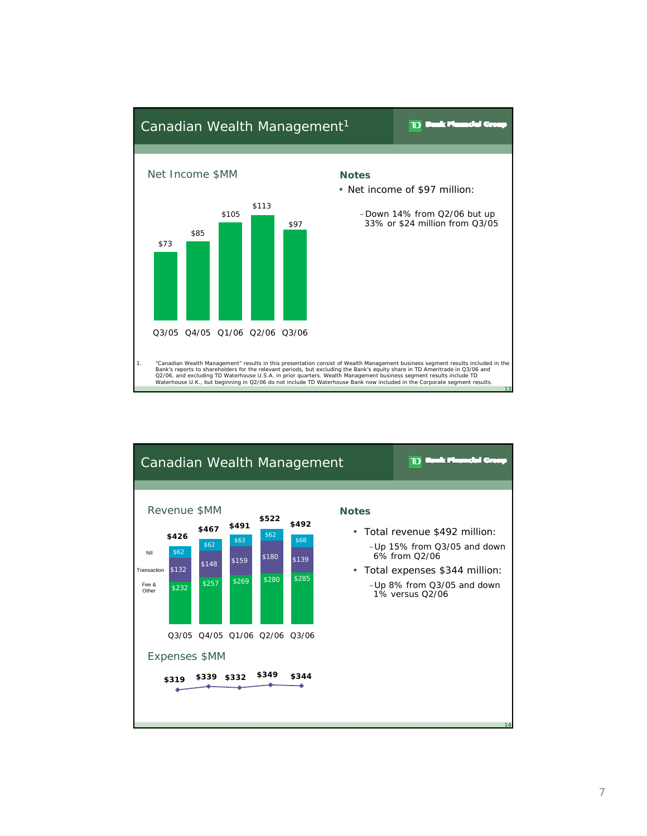

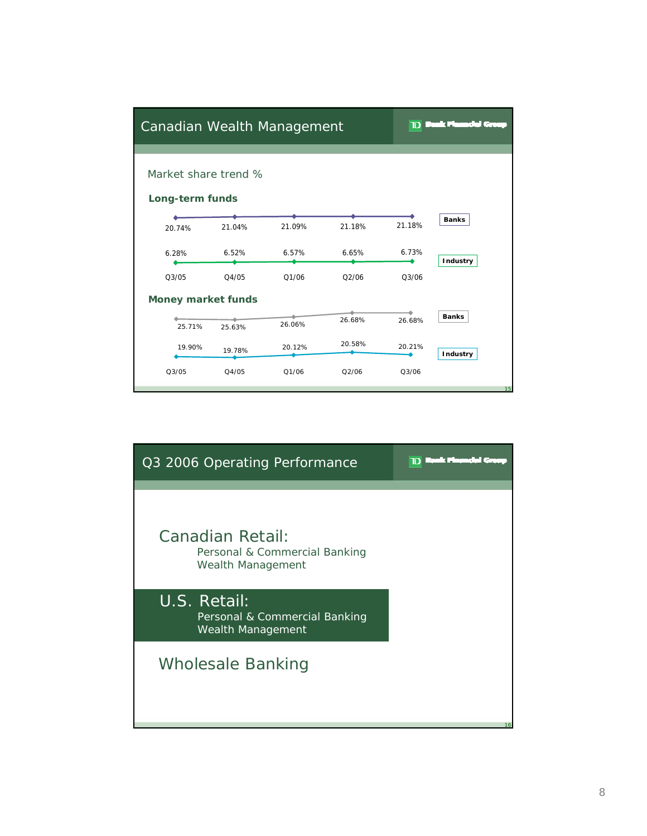| Canadian Wealth Management              |        |        |        | סד     | l ol<br>m       |
|-----------------------------------------|--------|--------|--------|--------|-----------------|
| Market share trend %<br>Long-term funds |        |        |        |        |                 |
| 20.74%                                  | 21.04% | 21.09% | 21.18% | 21.18% | <b>Banks</b>    |
| 6.28%                                   | 6.52%  | 6.57%  | 6.65%  | 6.73%  | <b>Industry</b> |
| Q3/05                                   | Q4/05  | 01/06  | O2/06  | Q3/06  |                 |
| <b>Money market funds</b>               |        |        |        |        |                 |
| 25.71%                                  | 25.63% | 26.06% | 26.68% | 26.68% | <b>Banks</b>    |
| 19.90%                                  | 19.78% | 20.12% | 20.58% | 20.21% | Industry        |
| Q3/05                                   | Q4/05  | Q1/06  | Q2/06  | Q3/06  | 15              |

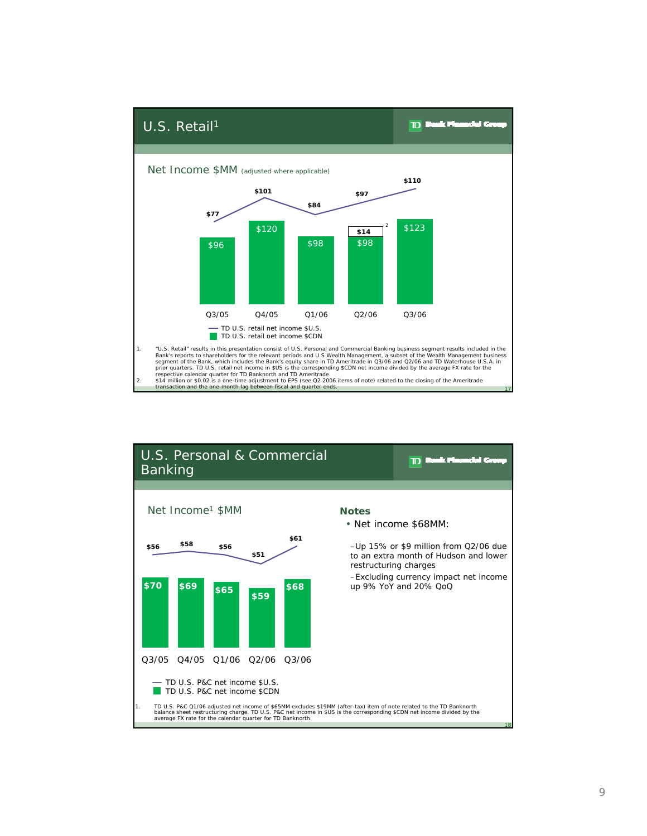

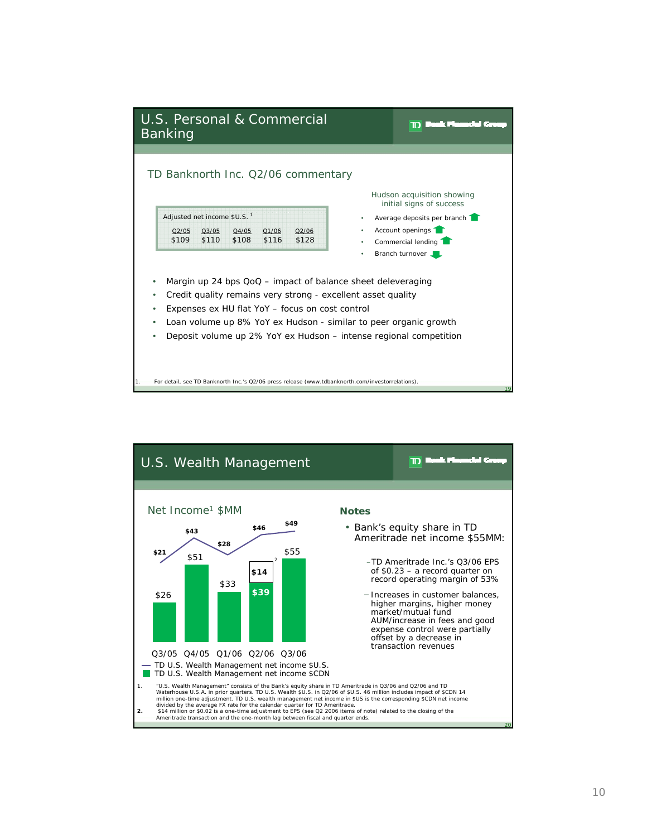

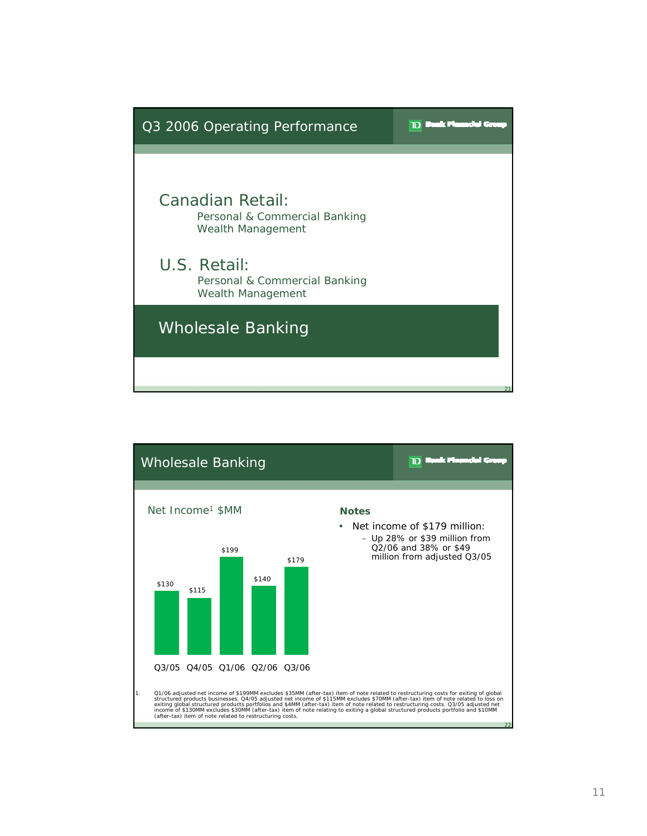

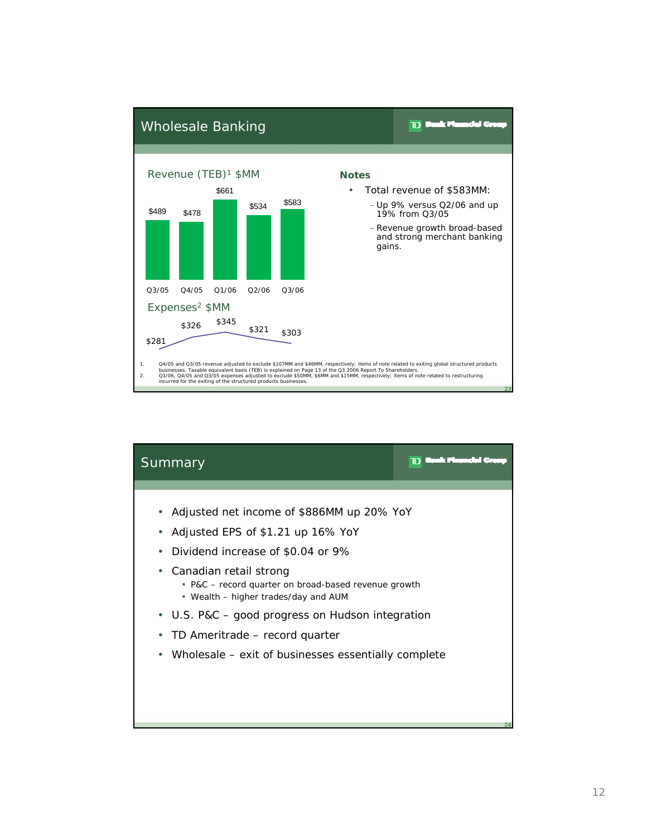